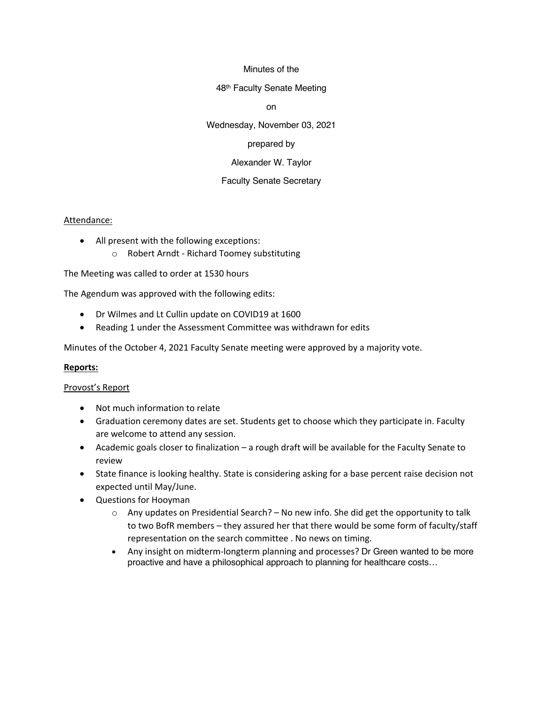#### Minutes of the

#### 48th Faculty Senate Meeting

on

Wednesday, November 03, 2021

### prepared by

### Alexander W. Taylor

# Faculty Senate Secretary

#### Attendance:

- All present with the following exceptions:
	- o Robert Arndt Richard Toomey substituting

The Meeting was called to order at 1530 hours

The Agendum was approved with the following edits:

- Dr Wilmes and Lt Cullin update on COVID19 at 1600
- Reading 1 under the Assessment Committee was withdrawn for edits

Minutes of the October 4, 2021 Faculty Senate meeting were approved by a majority vote.

### **Reports:**

### Provost's Report

- Not much information to relate
- Graduation ceremony dates are set. Students get to choose which they participate in. Faculty are welcome to attend any session.
- Academic goals closer to finalization a rough draft will be available for the Faculty Senate to review
- State finance is looking healthy. State is considering asking for a base percent raise decision not expected until May/June.
- Questions for Hooyman
	- $\circ$  Any updates on Presidential Search? No new info. She did get the opportunity to talk to two BofR members – they assured her that there would be some form of faculty/staff representation on the search committee . No news on timing.
	- Any insight on midterm-longterm planning and processes? Dr Green wanted to be more proactive and have a philosophical approach to planning for healthcare costs…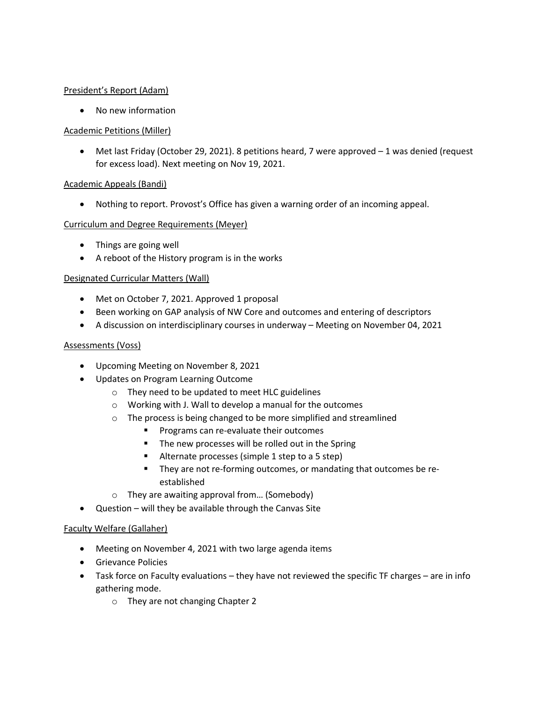### President's Report (Adam)

• No new information

# Academic Petitions (Miller)

• Met last Friday (October 29, 2021). 8 petitions heard, 7 were approved - 1 was denied (request for excess load). Next meeting on Nov 19, 2021.

# Academic Appeals (Bandi)

• Nothing to report. Provost's Office has given a warning order of an incoming appeal.

# Curriculum and Degree Requirements (Meyer)

- Things are going well
- A reboot of the History program is in the works

# Designated Curricular Matters (Wall)

- Met on October 7, 2021. Approved 1 proposal
- Been working on GAP analysis of NW Core and outcomes and entering of descriptors
- A discussion on interdisciplinary courses in underway Meeting on November 04, 2021

### Assessments (Voss)

- Upcoming Meeting on November 8, 2021
- Updates on Program Learning Outcome
	- o They need to be updated to meet HLC guidelines
	- o Working with J. Wall to develop a manual for the outcomes
	- o The process is being changed to be more simplified and streamlined
		- Programs can re-evaluate their outcomes
		- The new processes will be rolled out in the Spring
		- Alternate processes (simple 1 step to a 5 step)
		- They are not re-forming outcomes, or mandating that outcomes be reestablished
	- o They are awaiting approval from… (Somebody)
- Question will they be available through the Canvas Site

### Faculty Welfare (Gallaher)

- Meeting on November 4, 2021 with two large agenda items
- Grievance Policies
- Task force on Faculty evaluations they have not reviewed the specific TF charges are in info gathering mode.
	- o They are not changing Chapter 2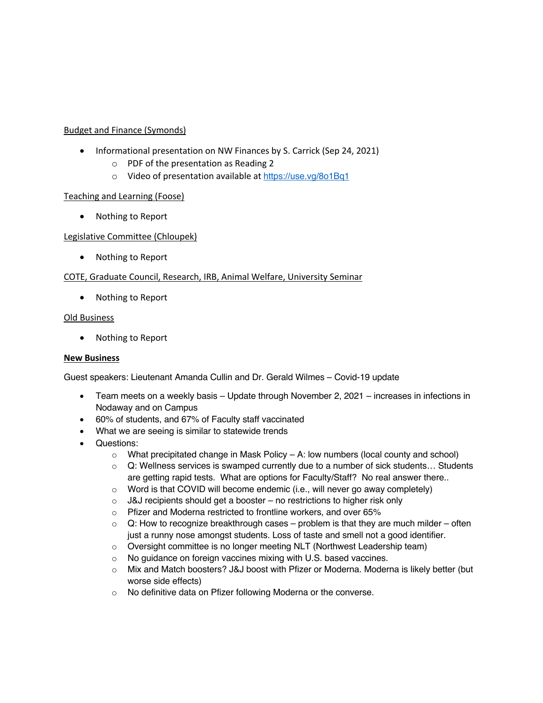### Budget and Finance (Symonds)

- Informational presentation on NW Finances by S. Carrick (Sep 24, 2021)
	- o PDF of the presentation as Reading 2
	- o Video of presentation available at https://use.vq/8o1Bq1

### Teaching and Learning (Foose)

• Nothing to Report

### Legislative Committee (Chloupek)

• Nothing to Report

### COTE, Graduate Council, Research, IRB, Animal Welfare, University Seminar

• Nothing to Report

### Old Business

• Nothing to Report

### **New Business**

Guest speakers: Lieutenant Amanda Cullin and Dr. Gerald Wilmes – Covid-19 update

- Team meets on a weekly basis Update through November 2, 2021 increases in infections in Nodaway and on Campus
- 60% of students, and 67% of Faculty staff vaccinated
- What we are seeing is similar to statewide trends
- Questions:
	- $\circ$  What precipitated change in Mask Policy A: low numbers (local county and school)
	- $\circ$  Q: Wellness services is swamped currently due to a number of sick students... Students are getting rapid tests. What are options for Faculty/Staff? No real answer there..
	- o Word is that COVID will become endemic (i.e., will never go away completely)
	- $\circ$  J&J recipients should get a booster no restrictions to higher risk only
	- o Pfizer and Moderna restricted to frontline workers, and over 65%
	- $\circ$  Q: How to recognize breakthrough cases problem is that they are much milder often just a runny nose amongst students. Loss of taste and smell not a good identifier.
	- o Oversight committee is no longer meeting NLT (Northwest Leadership team)
	- o No guidance on foreign vaccines mixing with U.S. based vaccines.
	- o Mix and Match boosters? J&J boost with Pfizer or Moderna. Moderna is likely better (but worse side effects)
	- o No definitive data on Pfizer following Moderna or the converse.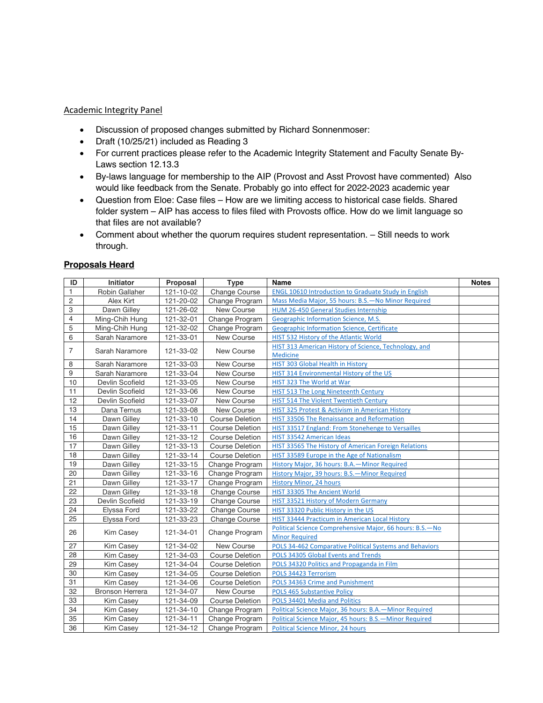# Academic Integrity Panel

- Discussion of proposed changes submitted by Richard Sonnenmoser:
- Draft (10/25/21) included as Reading 3
- For current practices please refer to the Academic Integrity Statement and Faculty Senate By-Laws section 12.13.3
- By-laws language for membership to the AIP (Provost and Asst Provost have commented) Also would like feedback from the Senate. Probably go into effect for 2022-2023 academic year
- Question from Eloe: Case files How are we limiting access to historical case fields. Shared folder system – AIP has access to files filed with Provosts office. How do we limit language so that files are not available?
- Comment about whether the quorum requires student representation. Still needs to work through.

#### **Proposals Heard**

| ID             | <b>Initiator</b> | Proposal        | <b>Type</b>            | Name                                                        | <b>Notes</b> |
|----------------|------------------|-----------------|------------------------|-------------------------------------------------------------|--------------|
| 1              | Robin Gallaher   | 121-10-02       | Change Course          | <b>ENGL 10610 Introduction to Graduate Study in English</b> |              |
| $\overline{c}$ | Alex Kirt        | 121-20-02       | Change Program         | Mass Media Major, 55 hours: B.S.-No Minor Required          |              |
| 3              | Dawn Gilley      | 121-26-02       | New Course             | HUM 26-450 General Studies Internship                       |              |
| 4              | Ming-Chih Hung   | 121-32-01       | Change Program         | Geographic Information Science, M.S.                        |              |
| 5              | Ming-Chih Hung   | 121-32-02       | Change Program         | Geographic Information Science, Certificate                 |              |
| 6              | Sarah Naramore   | 121-33-01       | New Course             | <b>HIST 532 History of the Atlantic World</b>               |              |
| 7              | Sarah Naramore   | 121-33-02       | New Course             | HIST 313 American History of Science, Technology, and       |              |
|                |                  |                 |                        | <b>Medicine</b>                                             |              |
| 8              | Sarah Naramore   | 121-33-03       | New Course             | HIST 303 Global Health in History                           |              |
| 9              | Sarah Naramore   | 121-33-04       | New Course             | HIST 314 Environmental History of the US                    |              |
| 10             | Devlin Scofield  | 121-33-05       | New Course             | HIST 323 The World at War                                   |              |
| 11             | Devlin Scofield  | 121-33-06       | New Course             | HIST 513 The Long Nineteenth Century                        |              |
| 12             | Devlin Scofield  | 121-33-07       | New Course             | HIST 514 The Violent Twentieth Century                      |              |
| 13             | Dana Ternus      | 121-33-08       | New Course             | HIST 325 Protest & Activism in American History             |              |
| 14             | Dawn Gilley      | 121-33-10       | <b>Course Deletion</b> | HIST 33506 The Renaissance and Reformation                  |              |
| 15             | Dawn Gilley      | 121-33-11       | <b>Course Deletion</b> | HIST 33517 England: From Stonehenge to Versailles           |              |
| 16             | Dawn Gilley      | 121-33-12       | <b>Course Deletion</b> | HIST 33542 American Ideas                                   |              |
| 17             | Dawn Gilley      | 121-33-13       | <b>Course Deletion</b> | HIST 33565 The History of American Foreign Relations        |              |
| 18             | Dawn Gilley      | 121-33-14       | <b>Course Deletion</b> | HIST 33589 Europe in the Age of Nationalism                 |              |
| 19             | Dawn Gilley      | 121-33-15       | Change Program         | History Major, 36 hours: B.A. - Minor Required              |              |
| 20             | Dawn Gilley      | 121-33-16       | Change Program         | History Major, 39 hours: B.S.-Minor Required                |              |
| 21             | Dawn Gilley      | 121-33-17       | Change Program         | <b>History Minor, 24 hours</b>                              |              |
| 22             | Dawn Gilley      | 121-33-18       | <b>Change Course</b>   | HIST 33305 The Ancient World                                |              |
| 23             | Devlin Scofield  | 121-33-19       | <b>Change Course</b>   | HIST 33521 History of Modern Germany                        |              |
| 24             | Elyssa Ford      | 121-33-22       | <b>Change Course</b>   | HIST 33320 Public History in the US                         |              |
| 25             | Elyssa Ford      | 121-33-23       | Change Course          | HIST 33444 Practicum in American Local History              |              |
| 26             | Kim Casey        | 121-34-01       | Change Program         | Political Science Comprehensive Major, 66 hours: B.S.-No    |              |
|                |                  |                 |                        | <b>Minor Required</b>                                       |              |
| 27             | <b>Kim Casey</b> | 121-34-02       | New Course             | POLS 34-462 Comparative Political Systems and Behaviors     |              |
| 28             | Kim Casey        | 121-34-03       | <b>Course Deletion</b> | POLS 34305 Global Events and Trends                         |              |
| 29             | Kim Casey        | 121-34-04       | <b>Course Deletion</b> | POLS 34320 Politics and Propaganda in Film                  |              |
| 30             | Kim Casey        | 121-34-05       | <b>Course Deletion</b> | POLS 34423 Terrorism                                        |              |
| 31             | Kim Casey        | 121-34-06       | <b>Course Deletion</b> | POLS 34363 Crime and Punishment                             |              |
| 32             | Bronson Herrera  | 121-34-07       | New Course             | <b>POLS 465 Substantive Policy</b>                          |              |
| 33             | <b>Kim Casey</b> | $121 - 34 - 09$ | <b>Course Deletion</b> | POLS 34401 Media and Politics                               |              |
| 34             | <b>Kim Casey</b> | 121-34-10       | Change Program         | Political Science Major, 36 hours: B.A. - Minor Required    |              |
| 35             | Kim Casey        | 121-34-11       | Change Program         | Political Science Major, 45 hours: B.S.-Minor Required      |              |
| 36             | Kim Casey        | 121-34-12       | Change Program         | <b>Political Science Minor, 24 hours</b>                    |              |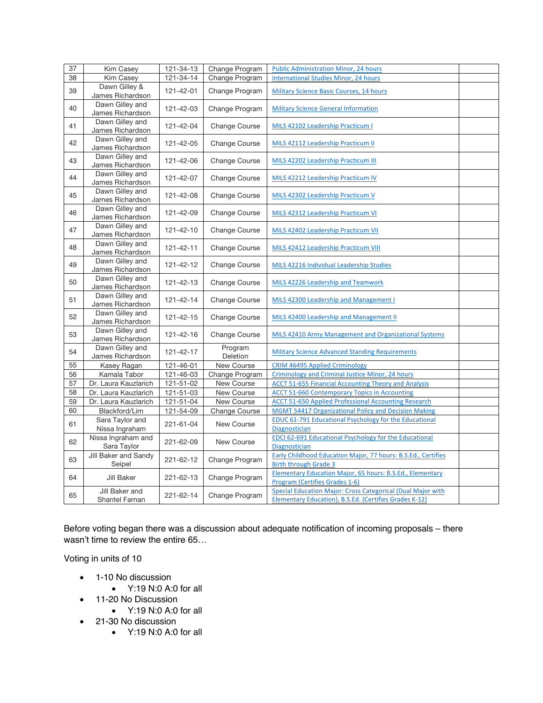| 37 | Kim Casey                           | 121-34-13       | Change Program       | <b>Public Administration Minor, 24 hours</b>                                                                                        |  |
|----|-------------------------------------|-----------------|----------------------|-------------------------------------------------------------------------------------------------------------------------------------|--|
| 38 | Kim Casey                           | 121-34-14       | Change Program       | <b>International Studies Minor, 24 hours</b>                                                                                        |  |
| 39 | Dawn Gilley &<br>James Richardson   | 121-42-01       | Change Program       | <b>Military Science Basic Courses, 14 hours</b>                                                                                     |  |
| 40 | Dawn Gilley and<br>James Richardson | 121-42-03       | Change Program       | <b>Military Science General Information</b>                                                                                         |  |
| 41 | Dawn Gilley and<br>James Richardson | 121-42-04       | <b>Change Course</b> | MILS 42102 Leadership Practicum I                                                                                                   |  |
| 42 | Dawn Gilley and<br>James Richardson | 121-42-05       | <b>Change Course</b> | MILS 42112 Leadership Practicum II                                                                                                  |  |
| 43 | Dawn Gilley and<br>James Richardson | 121-42-06       | <b>Change Course</b> | MILS 42202 Leadership Practicum III                                                                                                 |  |
| 44 | Dawn Gilley and<br>James Richardson | 121-42-07       | <b>Change Course</b> | MILS 42212 Leadership Practicum IV                                                                                                  |  |
| 45 | Dawn Gilley and<br>James Richardson | 121-42-08       | <b>Change Course</b> | MILS 42302 Leadership Practicum V                                                                                                   |  |
| 46 | Dawn Gilley and<br>James Richardson | 121-42-09       | Change Course        | MILS 42312 Leadership Practicum VI                                                                                                  |  |
| 47 | Dawn Gilley and<br>James Richardson | 121-42-10       | <b>Change Course</b> | MILS 42402 Leadership Practicum VII                                                                                                 |  |
| 48 | Dawn Gilley and<br>James Richardson | 121-42-11       | <b>Change Course</b> | MILS 42412 Leadership Practicum VIII                                                                                                |  |
| 49 | Dawn Gilley and<br>James Richardson | 121-42-12       | <b>Change Course</b> | MILS 42216 Individual Leadership Studies                                                                                            |  |
| 50 | Dawn Gilley and<br>James Richardson | 121-42-13       | <b>Change Course</b> | MILS 42226 Leadership and Teamwork                                                                                                  |  |
| 51 | Dawn Gilley and<br>James Richardson | 121-42-14       | <b>Change Course</b> | MILS 42300 Leadership and Management I                                                                                              |  |
| 52 | Dawn Gilley and<br>James Richardson | 121-42-15       | <b>Change Course</b> | MILS 42400 Leadership and Management II                                                                                             |  |
| 53 | Dawn Gilley and<br>James Richardson | 121-42-16       | <b>Change Course</b> | MILS 42410 Army Management and Organizational Systems                                                                               |  |
| 54 | Dawn Gilley and<br>James Richardson | 121-42-17       | Program<br>Deletion  | <b>Military Science Advanced Standing Requirements</b>                                                                              |  |
| 55 | Kasey Ragan                         | 121-46-01       | New Course           | <b>CRIM 46495 Applied Criminology</b>                                                                                               |  |
| 56 | Kamala Tabor                        | 121-46-03       | Change Program       | Criminology and Criminal Justice Minor, 24 hours                                                                                    |  |
| 57 | Dr. Laura Kauzlarich                | $121 - 51 - 02$ | New Course           | <b>ACCT 51-655 Financial Accounting Theory and Analysis</b>                                                                         |  |
| 58 | Dr. Laura Kauzlarich                | 121-51-03       | New Course           | <b>ACCT 51-660 Contemporary Topics in Accounting</b>                                                                                |  |
| 59 | Dr. Laura Kauzlarich                | $121 - 51 - 04$ | New Course           | <b>ACCT 51-650 Applied Professional Accounting Research</b>                                                                         |  |
| 60 | Blackford/Lim                       | 121-54-09       | Change Course        | <b>MGMT 54417 Organizational Policy and Decision Making</b>                                                                         |  |
| 61 | Sara Taylor and<br>Nissa Ingraham   | 221-61-04       | New Course           | EDUC 61-791 Educational Psychology for the Educational<br>Diagnostician                                                             |  |
| 62 | Nissa Ingraham and<br>Sara Taylor   | 221-62-09       | New Course           | <b>EDCI 62-691 Educational Psychology for the Educational</b><br><b>Diagnostician</b>                                               |  |
| 63 | Jill Baker and Sandy<br>Seipel      | 221-62-12       | Change Program       | Early Childhood Education Major, 77 hours: B.S.Ed., Certifies<br><b>Birth through Grade 3</b>                                       |  |
| 64 | Jill Baker                          | 221-62-13       | Change Program       | Elementary Education Major, 65 hours: B.S.Ed., Elementary<br>Program (Certifies Grades 1-6)                                         |  |
| 65 | Jill Baker and<br>Shantel Farnan    | 221-62-14       | Change Program       | <b>Special Education Major: Cross Categorical (Dual Major with</b><br><b>Elementary Education), B.S.Ed. (Certifies Grades K-12)</b> |  |

Before voting began there was a discussion about adequate notification of incoming proposals – there wasn't time to review the entire 65…

Voting in units of 10

- 1-10 No discussion
	- Y:19 N:0 A:0 for all
- 11-20 No Discussion
	- Y:19 N:0 A:0 for all
- 21-30 No discussion
	- Y:19 N:0 A:0 for all